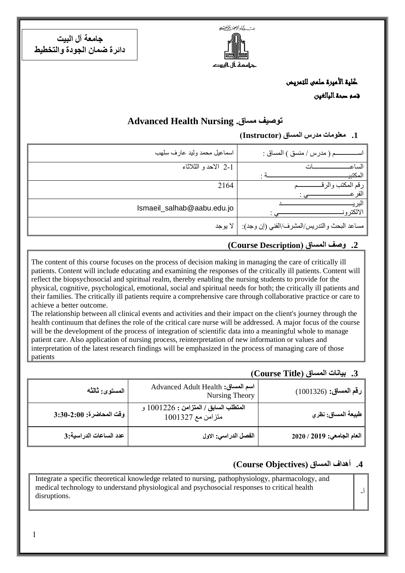ديت كمشرالتجز الرخيج مة ال الست

**جامعة آل البيت دائرة ضمان الجودة والتخطيط**

 كلية األميرة سلمى للتمريض قسم صحة البالغين

# **Advanced Health Nursing .مساق توصيف**

**.1 معلومات مدرس المساق )Instructor)**

| م ( مدرس / منسق ) المساق :                            | اسماعيل محمد وليد عارف سلهب |
|-------------------------------------------------------|-----------------------------|
| الساع                                                 | 2-1 الاحدو الثلاثاء         |
| المكتبي                                               |                             |
|                                                       | 2164                        |
|                                                       |                             |
| الالكتر و                                             | Ismaeil_salhab@aabu.edu.jo  |
| مساعد البحث والتدريس/المشرف/الفني (إن وجد):   لا يوجد |                             |

### **.2 وصف المساق )Description Course(**

The content of this course focuses on the process of decision making in managing the care of critically ill patients. Content will include educating and examining the responses of the critically ill patients. Content will reflect the biopsychosocial and spiritual realm, thereby enabling the nursing students to provide for the physical, cognitive, psychological, emotional, social and spiritual needs for both; the critically ill patients and their families. The critically ill patients require a comprehensive care through collaborative practice or care to achieve a better outcome.

The relationship between all clinical events and activities and their impact on the client's journey through the health continuum that defines the role of the critical care nurse will be addressed. A major focus of the course will be the development of the process of integration of scientific data into a meaningful whole to manage patient care. Also application of nursing process, reinterpretation of new information or values and interpretation of the latest research findings will be emphasized in the process of managing care of those patients

#### **.3 بيانات المساق )Title Course)**

| المستوى: ثالثه           | Advanced Adult Health :اسم المساق<br>Nursing Theory        | رقم المساق: (1001326)      |
|--------------------------|------------------------------------------------------------|----------------------------|
| وفّت المحاضرة: 2:00-3:30 | المتطلب السابق / المتزامن : 1001226 و<br>متزامن مع 1001327 | ِ طبيعة المساق: نظري       |
| عدد الساعات الدراسية:3   | الفصل الدراسي: الاول                                       | العام الجامعي: 2019 / 2020 |

## **.4 أهداف المساق )ِObjectives Course)**

أ-

Integrate a specific theoretical knowledge related to nursing, pathophysiology, pharmacology, and medical technology to understand physiological and psychosocial responses to critical health disruptions.

1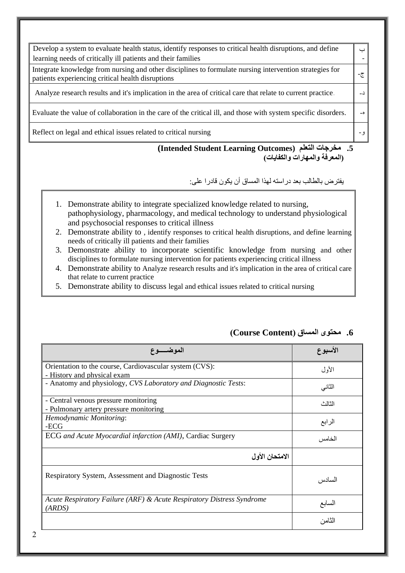| Develop a system to evaluate health status, identify responses to critical health disruptions, and define<br>learning needs of critically ill patients and their families | ا ب             |
|---------------------------------------------------------------------------------------------------------------------------------------------------------------------------|-----------------|
| Integrate knowledge from nursing and other disciplines to formulate nursing intervention strategies for<br>patients experiencing critical health disruptions              | $-\overline{c}$ |
| Analyze research results and it's implication in the area of critical care that relate to current practice.                                                               |                 |
| Evaluate the value of collaboration in the care of the critical ill, and those with system specific disorders.                                                            | $-5$            |
| Reflect on legal and ethical issues related to critical nursing                                                                                                           |                 |

#### **(Intended Student Learning Outcomes) التعلم مخرجات .5 )المعرفة والمهارات والكفايات(**

يفترض بالطالب بعد دراسته لهذا المساق أن يكون قادرا على:

- 1. Demonstrate ability to integrate specialized knowledge related to nursing, pathophysiology, pharmacology, and medical technology to understand physiological and psychosocial responses to critical illness
- 2. Demonstrate ability to , identify responses to critical health disruptions, and define learning needs of critically ill patients and their families
- 3. Demonstrate ability to incorporate scientific knowledge from nursing and other disciplines to formulate nursing intervention for patients experiencing critical illness
- 4. Demonstrate ability to Analyze research results and it's implication in the area of critical care that relate to current practice
- 5. Demonstrate ability to discuss legal and ethical issues related to critical nursing

|                                                                                 | الاسبوع |
|---------------------------------------------------------------------------------|---------|
| Orientation to the course, Cardiovascular system (CVS):                         | الأول   |
| - History and physical exam                                                     |         |
| - Anatomy and physiology, CVS Laboratory and Diagnostic Tests:                  | الثاني  |
| - Central venous pressure monitoring                                            | الثالث  |
| - Pulmonary artery pressure monitoring                                          |         |
| Hemodynamic Monitoring:                                                         |         |
| -ECG                                                                            | الرابع  |
| ECG and Acute Myocardial infarction (AMI), Cardiac Surgery                      | الخامس  |
| الامتحان الأول                                                                  |         |
| Respiratory System, Assessment and Diagnostic Tests                             | السادس  |
| Acute Respiratory Failure (ARF) & Acute Respiratory Distress Syndrome<br>(ARDS) | السابع  |
|                                                                                 | الثامن  |

# **.6 محتوى المساق )Content Course)**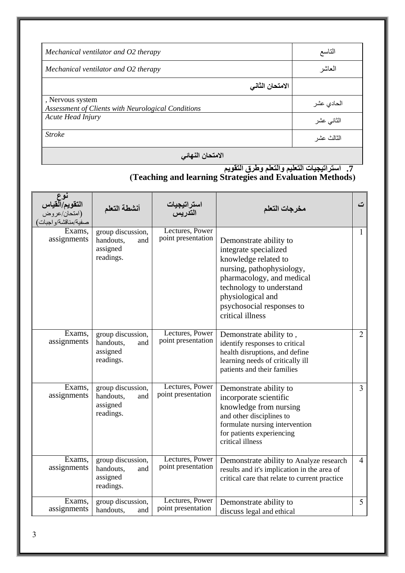| Mechanical ventilator and O2 therapy                                   | التاسع          |
|------------------------------------------------------------------------|-----------------|
| Mechanical ventilator and O2 therapy                                   | العاشر          |
|                                                                        | الامتحان الثاني |
| , Nervous system<br>Assessment of Clients with Neurological Conditions | الحادي عشر      |
| Acute Head Injury                                                      | الثاني عشر      |
| <b>Stroke</b>                                                          | الثالث عشر      |

**االمتحان النهائي**

#### **.7 استراتيجيات التعليم والتعلم وطرق التقويم )Teaching and learning Strategies and Evaluation Methods(**

| نوع<br>التقويم/القياس<br>(امتحان/عروض<br>صفية/مناقشة/واجبات | أنشطة التعلم                                                   | استراتيجيات<br>التدريس                | مخرجات التعلم                                                                                                                                                                                                                       | ت               |
|-------------------------------------------------------------|----------------------------------------------------------------|---------------------------------------|-------------------------------------------------------------------------------------------------------------------------------------------------------------------------------------------------------------------------------------|-----------------|
| Exams,<br>assignments                                       | group discussion,<br>handouts.<br>and<br>assigned<br>readings. | Lectures, Power<br>point presentation | Demonstrate ability to<br>integrate specialized<br>knowledge related to<br>nursing, pathophysiology,<br>pharmacology, and medical<br>technology to understand<br>physiological and<br>psychosocial responses to<br>critical illness | 1               |
| Exams,<br>assignments                                       | group discussion,<br>handouts,<br>and<br>assigned<br>readings. | Lectures, Power<br>point presentation | Demonstrate ability to,<br>identify responses to critical<br>health disruptions, and define<br>learning needs of critically ill<br>patients and their families                                                                      | $\overline{2}$  |
| Exams,<br>assignments                                       | group discussion,<br>handouts,<br>and<br>assigned<br>readings. | Lectures, Power<br>point presentation | Demonstrate ability to<br>incorporate scientific<br>knowledge from nursing<br>and other disciplines to<br>formulate nursing intervention<br>for patients experiencing<br>critical illness                                           | $\mathfrak{Z}$  |
| Exams,<br>assignments                                       | group discussion,<br>handouts,<br>and<br>assigned<br>readings. | Lectures, Power<br>point presentation | Demonstrate ability to Analyze research<br>results and it's implication in the area of<br>critical care that relate to current practice                                                                                             | $\overline{4}$  |
| Exams,<br>assignments                                       | group discussion,<br>handouts,<br>and                          | Lectures, Power<br>point presentation | Demonstrate ability to<br>discuss legal and ethical                                                                                                                                                                                 | $5\overline{)}$ |